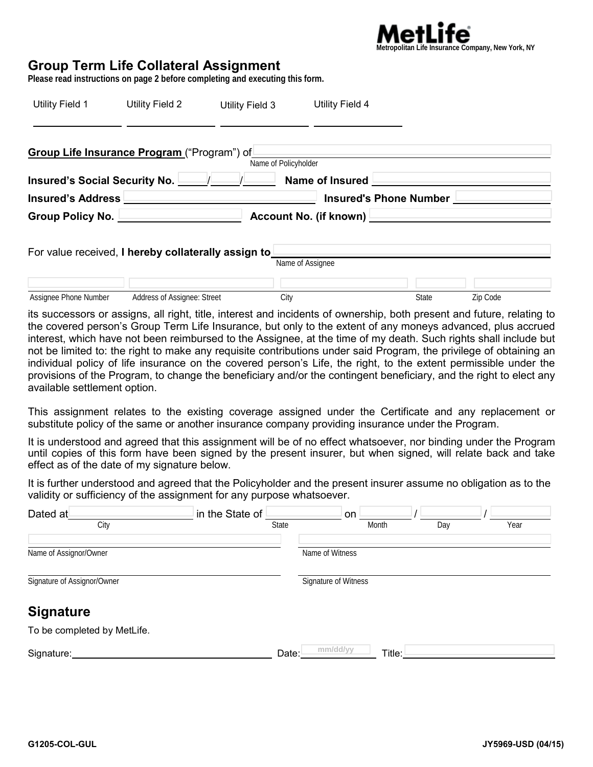

# **Group Term Life Collateral Assignment**

**Please read instructions on page 2 before completing and executing this form.**

| Utility Field 1                                     | Utility Field 2             | Utility Field 3                                           | Utility Field 4                                        |              |          |  |  |  |
|-----------------------------------------------------|-----------------------------|-----------------------------------------------------------|--------------------------------------------------------|--------------|----------|--|--|--|
| Group Life Insurance Program ("Program") of         |                             |                                                           | Name of Policyholder                                   |              |          |  |  |  |
|                                                     |                             |                                                           | Insured's Social Security No. $\Box$ / Name of Insured |              |          |  |  |  |
|                                                     |                             | <b>Insured's Address</b><br><b>Insured's Phone Number</b> |                                                        |              |          |  |  |  |
|                                                     |                             | Account No. (if known)<br>Group Policy No.                |                                                        |              |          |  |  |  |
| For value received, I hereby collaterally assign to |                             |                                                           | Name of Assignee                                       |              |          |  |  |  |
| Assignee Phone Number                               | Address of Assignee: Street |                                                           | City                                                   | <b>State</b> | Zip Code |  |  |  |

its successors or assigns, all right, title, interest and incidents of ownership, both present and future, relating to the covered person's Group Term Life Insurance, but only to the extent of any moneys advanced, plus accrued interest, which have not been reimbursed to the Assignee, at the time of my death. Such rights shall include but not be limited to: the right to make any requisite contributions under said Program, the privilege of obtaining an individual policy of life insurance on the covered person's Life, the right, to the extent permissible under the provisions of the Program, to change the beneficiary and/or the contingent beneficiary, and the right to elect any available settlement option.

This assignment relates to the existing coverage assigned under the Certificate and any replacement or substitute policy of the same or another insurance company providing insurance under the Program.

It is understood and agreed that this assignment will be of no effect whatsoever, nor binding under the Program until copies of this form have been signed by the present insurer, but when signed, will relate back and take effect as of the date of my signature below.

It is further understood and agreed that the Policyholder and the present insurer assume no obligation as to the validity or sufficiency of the assignment for any purpose whatsoever.

| Dated at                    | in the State of | on                   |     |      |
|-----------------------------|-----------------|----------------------|-----|------|
| City                        | State           | Month                | Day | Year |
| Name of Assignor/Owner      |                 | Name of Witness      |     |      |
| Signature of Assignor/Owner |                 | Signature of Witness |     |      |
| <b>Signature</b>            |                 |                      |     |      |
| To be completed by MetLife. |                 |                      |     |      |
| Signature:                  | Date:           | mm/dd/yy<br>Title:   |     |      |